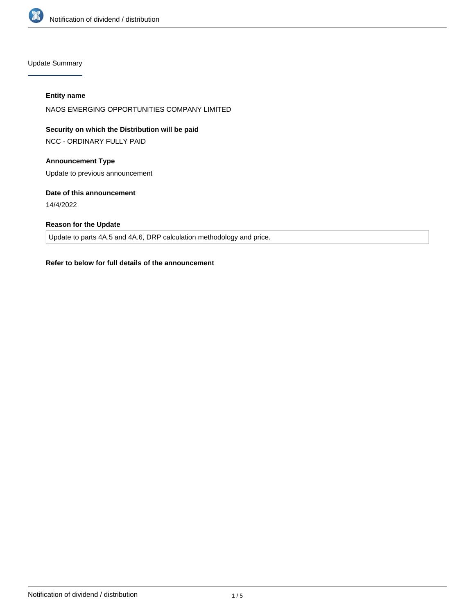

Update Summary

### **Entity name**

NAOS EMERGING OPPORTUNITIES COMPANY LIMITED

**Security on which the Distribution will be paid**

NCC - ORDINARY FULLY PAID

## **Announcement Type**

Update to previous announcement

### **Date of this announcement**

14/4/2022

## **Reason for the Update**

Update to parts 4A.5 and 4A.6, DRP calculation methodology and price.

### **Refer to below for full details of the announcement**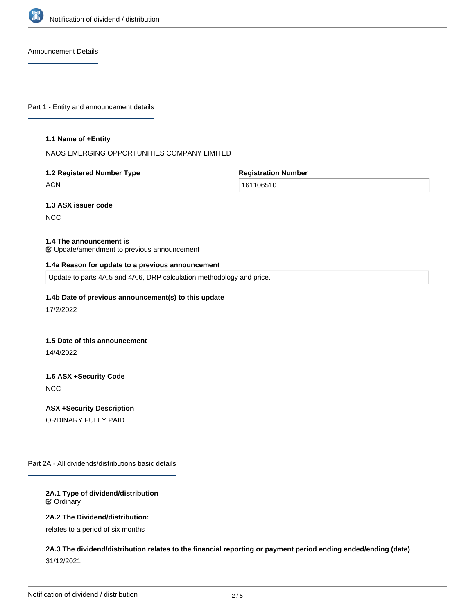

Announcement Details

Part 1 - Entity and announcement details

#### **1.1 Name of +Entity**

NAOS EMERGING OPPORTUNITIES COMPANY LIMITED

# **1.2 Registered Number Type**

**ACN** 

**Registration Number**

161106510

# **1.3 ASX issuer code**

**NCC** 

### **1.4 The announcement is**

Update/amendment to previous announcement

### **1.4a Reason for update to a previous announcement**

Update to parts 4A.5 and 4A.6, DRP calculation methodology and price.

### **1.4b Date of previous announcement(s) to this update**

17/2/2022

### **1.5 Date of this announcement**

14/4/2022

# **1.6 ASX +Security Code NCC**

**ASX +Security Description** ORDINARY FULLY PAID

Part 2A - All dividends/distributions basic details

### **2A.1 Type of dividend/distribution** Ordinary

### **2A.2 The Dividend/distribution:**

relates to a period of six months

## **2A.3 The dividend/distribution relates to the financial reporting or payment period ending ended/ending (date)** 31/12/2021

**2A.4 +Record Date**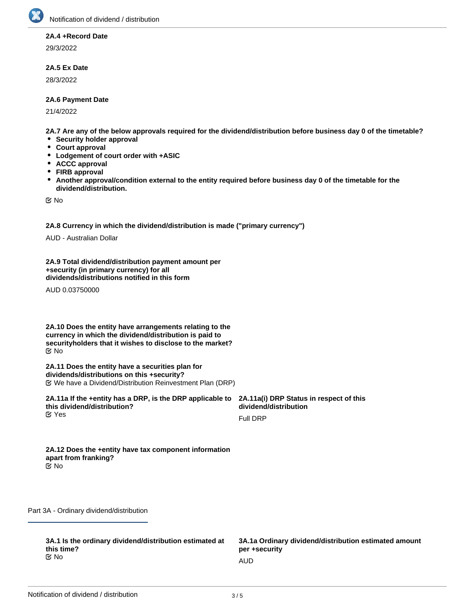

### **2A.4 +Record Date**

29/3/2022

### **2A.5 Ex Date**

28/3/2022

### **2A.6 Payment Date**

21/4/2022

**2A.7 Are any of the below approvals required for the dividend/distribution before business day 0 of the timetable?**

- **•** Security holder approval
- **Court approval**
- **Lodgement of court order with +ASIC**
- **ACCC approval**
- **FIRB approval**
- $\bullet$ **Another approval/condition external to the entity required before business day 0 of the timetable for the dividend/distribution.**

No

**2A.8 Currency in which the dividend/distribution is made ("primary currency")**

AUD - Australian Dollar

**2A.9 Total dividend/distribution payment amount per +security (in primary currency) for all dividends/distributions notified in this form**

AUD 0.03750000

**2A.10 Does the entity have arrangements relating to the currency in which the dividend/distribution is paid to securityholders that it wishes to disclose to the market?** No

**2A.11 Does the entity have a securities plan for dividends/distributions on this +security?** We have a Dividend/Distribution Reinvestment Plan (DRP)

**2A.11a If the +entity has a DRP, is the DRP applicable to this dividend/distribution? K** Yes

**2A.11a(i) DRP Status in respect of this dividend/distribution**

Full DRP

**2A.12 Does the +entity have tax component information apart from franking?** No

Part 3A - Ordinary dividend/distribution

**3A.1 Is the ordinary dividend/distribution estimated at this time?** No and the contract of the contract of the contract of the contract of the contract of the contract of the contract of the contract of the contract of the contract of the contract of the contract of the contract of the con

**3A.1a Ordinary dividend/distribution estimated amount per +security**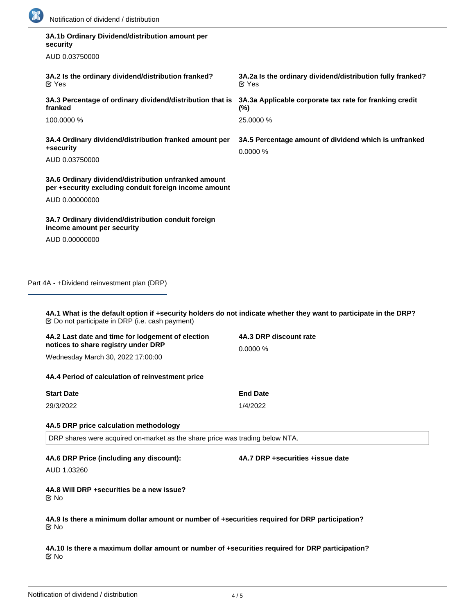

| security                                                                                                                                                                     |                                                                                  |
|------------------------------------------------------------------------------------------------------------------------------------------------------------------------------|----------------------------------------------------------------------------------|
| AUD 0.03750000                                                                                                                                                               |                                                                                  |
| 3A.2 Is the ordinary dividend/distribution franked?<br>$\mathfrak{C}$ Yes                                                                                                    | 3A.2a Is the ordinary dividend/distribution fully franked?<br>$\mathfrak{C}$ Yes |
| 3A.3 Percentage of ordinary dividend/distribution that is<br>franked                                                                                                         | 3A.3a Applicable corporate tax rate for franking credit<br>(%)                   |
| 100.0000 %                                                                                                                                                                   | 25.0000 %                                                                        |
| 3A.4 Ordinary dividend/distribution franked amount per<br>+security                                                                                                          | 3A.5 Percentage amount of dividend which is unfranked<br>0.0000 %                |
| AUD 0.03750000                                                                                                                                                               |                                                                                  |
| 3A.6 Ordinary dividend/distribution unfranked amount<br>per +security excluding conduit foreign income amount                                                                |                                                                                  |
| AUD 0.00000000                                                                                                                                                               |                                                                                  |
| 3A.7 Ordinary dividend/distribution conduit foreign<br>income amount per security                                                                                            |                                                                                  |
| AUD 0.00000000                                                                                                                                                               |                                                                                  |
| Part 4A - +Dividend reinvestment plan (DRP)                                                                                                                                  |                                                                                  |
| 4A.1 What is the default option if +security holders do not indicate whether they want to participate in the DRP?<br><b> ©</b> Do not participate in DRP (i.e. cash payment) | 4A.3 DRP discount rate                                                           |
| 4A.2 Last date and time for lodgement of election<br>notices to share registry under DRP                                                                                     | 0.0000 %                                                                         |
| Wednesday March 30, 2022 17:00:00                                                                                                                                            |                                                                                  |
| 4A.4 Period of calculation of reinvestment price                                                                                                                             |                                                                                  |
| <b>Start Date</b>                                                                                                                                                            | <b>End Date</b>                                                                  |
| 29/3/2022                                                                                                                                                                    | 1/4/2022                                                                         |
| 4A.5 DRP price calculation methodology                                                                                                                                       |                                                                                  |
| DRP shares were acquired on-market as the share price was trading below NTA.                                                                                                 |                                                                                  |
| 4A.6 DRP Price (including any discount):                                                                                                                                     | 4A.7 DRP +securities +issue date                                                 |
| AUD 1.03260                                                                                                                                                                  |                                                                                  |
| 4A.8 Will DRP + securities be a new issue?                                                                                                                                   |                                                                                  |

**4A.9 Is there a minimum dollar amount or number of +securities required for DRP participation?** No

**4A.10 Is there a maximum dollar amount or number of +securities required for DRP participation?** No